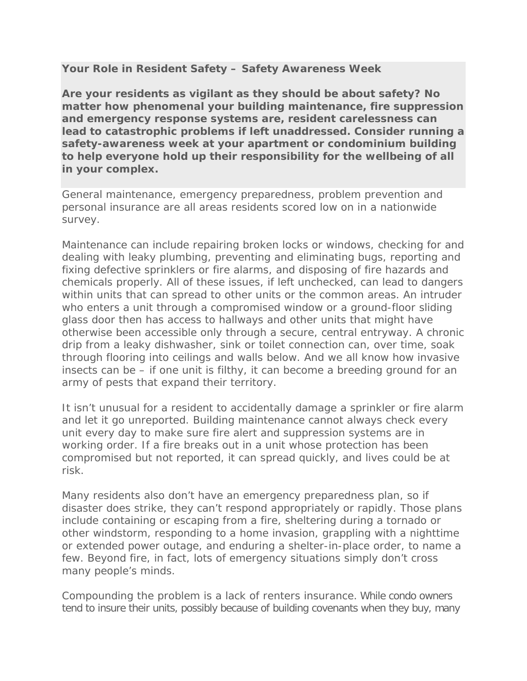## **Your Role in Resident Safety – Safety Awareness Week**

**Are your residents as vigilant as they should be about safety? No matter how phenomenal your building maintenance, fire suppression and emergency response systems are, resident carelessness can lead to catastrophic problems if left unaddressed. Consider running a safety-awareness week at your apartment or condominium building to help everyone hold up their responsibility for the wellbeing of all in your complex.**

General maintenance, emergency preparedness, problem prevention and personal insurance are all areas residents scored low on in a nationwide survey.

Maintenance can include repairing broken locks or windows, checking for and dealing with leaky plumbing, preventing and eliminating bugs, reporting and fixing defective sprinklers or fire alarms, and disposing of fire hazards and chemicals properly. All of these issues, if left unchecked, can lead to dangers within units that can spread to other units or the common areas. An intruder who enters a unit through a compromised window or a ground-floor sliding glass door then has access to hallways and other units that might have otherwise been accessible only through a secure, central entryway. A chronic drip from a leaky dishwasher, sink or toilet connection can, over time, soak through flooring into ceilings and walls below. And we all know how invasive insects can be – if one unit is filthy, it can become a breeding ground for an army of pests that expand their territory.

It isn't unusual for a resident to accidentally damage a sprinkler or fire alarm and let it go unreported. Building maintenance cannot always check every unit every day to make sure fire alert and suppression systems are in working order. If a fire breaks out in a unit whose protection has been compromised but not reported, it can spread quickly, and lives could be at risk.

Many residents also don't have an emergency preparedness plan, so if disaster does strike, they can't respond appropriately or rapidly. Those plans include containing or escaping from a fire, sheltering during a tornado or other windstorm, responding to a home invasion, grappling with a nighttime or extended power outage, and enduring a shelter-in-place order, to name a few. Beyond fire, in fact, lots of emergency situations simply don't cross many people's minds.

Compounding the problem is a lack of renters insurance. While condo owners tend to insure their units, possibly because of building covenants when they buy, many